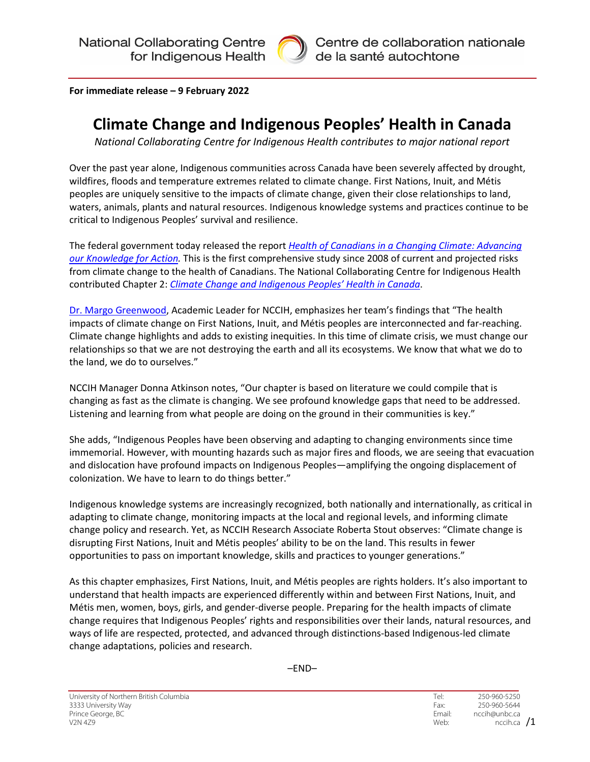

**For immediate release – 9 February 2022**

# **Climate Change and Indigenous Peoples' Health in Canada**

*National Collaborating Centre for Indigenous Health contributes to major national report*

Over the past year alone, Indigenous communities across Canada have been severely affected by drought, wildfires, floods and temperature extremes related to climate change. First Nations, Inuit, and Métis peoples are uniquely sensitive to the impacts of climate change, given their close relationships to land, waters, animals, plants and natural resources. Indigenous knowledge systems and practices continue to be critical to Indigenous Peoples' survival and resilience.

The federal government today released the report *[Health of Canadians in a Changing Climate: Advancing](https://changingclimate.ca/health-in-a-changing-climate/)  [our Knowledge for Action.](https://changingclimate.ca/health-in-a-changing-climate/)* This is the first comprehensive study since 2008 of current and projected risks from climate change to the health of Canadians. The National Collaborating Centre for Indigenous Health contributed Chapter 2: *[Climate Change and Indigenous Peoples' Health in Canada](http://changingclimate.ca/health-in-a-changing-climate/chapter/2-0/)*.

[Dr. Margo Greenwood,](https://www.nccih.ca/313/Academic_Lead.nccih) Academic Leader for NCCIH, emphasizes her team's findings that "The health impacts of climate change on First Nations, Inuit, and Métis peoples are interconnected and far-reaching. Climate change highlights and adds to existing inequities. In this time of climate crisis, we must change our relationships so that we are not destroying the earth and all its ecosystems. We know that what we do to the land, we do to ourselves."

NCCIH Manager Donna Atkinson notes, "Our chapter is based on literature we could compile that is changing as fast as the climate is changing. We see profound knowledge gaps that need to be addressed. Listening and learning from what people are doing on the ground in their communities is key."

She adds, "Indigenous Peoples have been observing and adapting to changing environments since time immemorial. However, with mounting hazards such as major fires and floods, we are seeing that evacuation and dislocation have profound impacts on Indigenous Peoples—amplifying the ongoing displacement of colonization. We have to learn to do things better."

Indigenous knowledge systems are increasingly recognized, both nationally and internationally, as critical in adapting to climate change, monitoring impacts at the local and regional levels, and informing climate change policy and research. Yet, as NCCIH Research Associate Roberta Stout observes: "Climate change is disrupting First Nations, Inuit and Métis peoples' ability to be on the land. This results in fewer opportunities to pass on important knowledge, skills and practices to younger generations."

As this chapter emphasizes, First Nations, Inuit, and Métis peoples are rights holders. It's also important to understand that health impacts are experienced differently within and between First Nations, Inuit, and Métis men, women, boys, girls, and gender-diverse people. Preparing for the health impacts of climate change requires that Indigenous Peoples' rights and responsibilities over their lands, natural resources, and ways of life are respected, protected, and advanced through distinctions-based Indigenous-led climate change adaptations, policies and research.